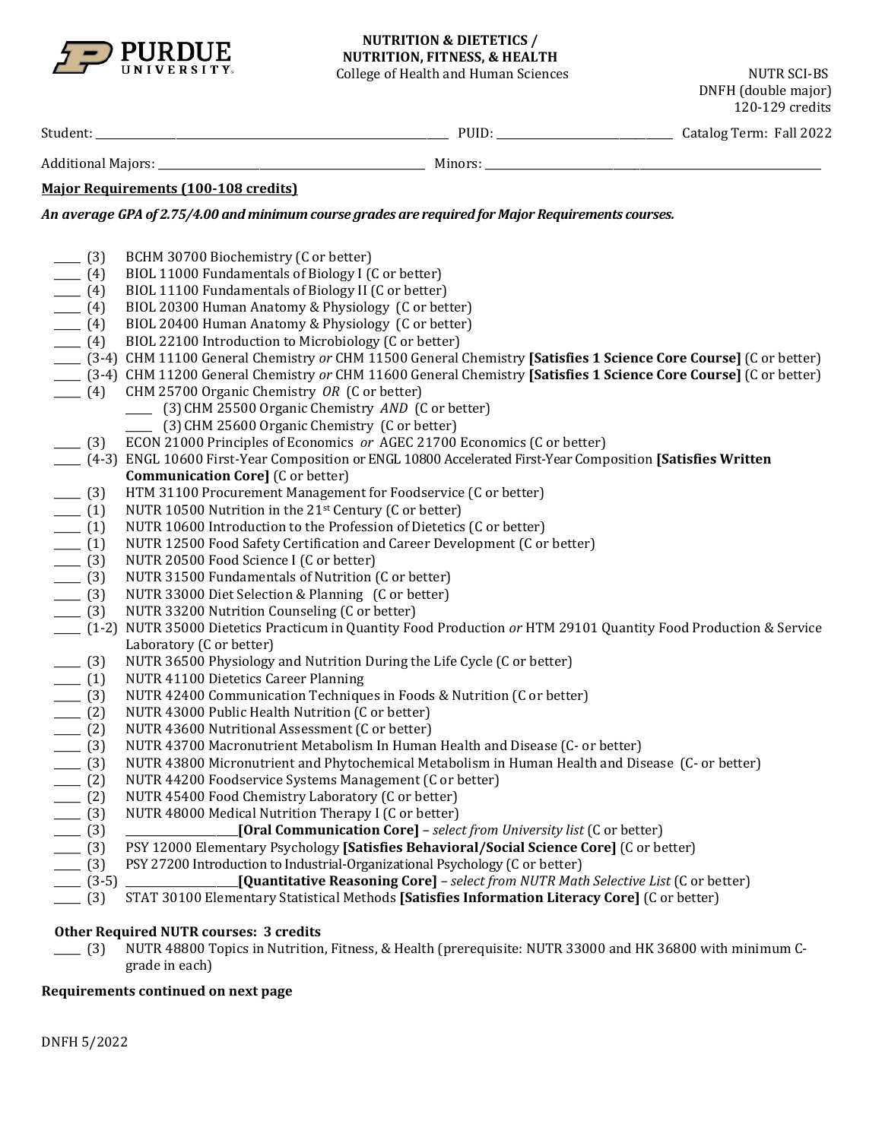

## **NUTRITION & DIETETICS / NUTRITION, FITNESS, & HEALTH**

College of Health and Human Sciences NUTR SCI-BS

DNFH (double major) 120-129 credits

| Stude | ັບມ | orm<br>uu<br>_ _ _ _ | $\sim$<br>---- |
|-------|-----|----------------------|----------------|
|       |     |                      |                |

Additional Majors: \_\_\_\_\_\_\_\_\_\_\_\_\_\_\_\_\_\_\_\_\_\_\_\_\_\_\_\_\_\_\_\_\_\_\_\_\_\_\_\_\_\_\_\_\_\_\_\_\_\_ Minors: \_\_\_\_\_\_\_\_\_\_\_\_\_\_\_\_\_\_\_\_\_\_\_\_\_\_\_\_\_\_\_\_\_\_\_\_\_\_\_\_\_\_\_\_\_\_\_\_\_\_\_\_\_\_\_\_\_\_\_\_\_\_\_

## **Major Requirements (100-108 credits)**

*An average GPA of 2.75/4.00 and minimum course grades are required for Major Requirements courses.*

\_\_\_\_ (3) BCHM 30700 Biochemistry (C or better)<br>
\_\_\_\_ (4) BIOL 11000 Fundamentals of Biology I ( \_\_\_\_\_ (4) BIOL 11000 Fundamentals of Biology I (C or better)<br>\_\_\_\_\_ (4) BIOL 11100 Fundamentals of Biology II (C or better) \_\_\_\_ (4) BIOL 11100 Fundamentals of Biology II (C or better)<br>\_\_\_\_ (4) BIOL 20300 Human Anatomy & Physiology (C or bet \_\_\_\_\_ (4) BIOL 20300 Human Anatomy & Physiology (C or better)<br>\_\_\_\_\_ (4) BIOL 20400 Human Anatomy & Physiology (C or better) (4) BIOL 20400 Human Anatomy & Physiology (C or better)<br>(4) BIOL 22100 Introduction to Microbiology (C or better) BIOL 22100 Introduction to Microbiology (C or better) \_\_\_\_\_ (3-4) CHM 11100 General Chemistry *or* CHM 11500 General Chemistry **[Satisfies 1 Science Core Course]** (C or better) \_\_\_\_\_ (3-4) CHM 11200 General Chemistry *or* CHM 11600 General Chemistry **[Satisfies 1 Science Core Course]** (C or better) \_\_\_\_\_ (4) CHM 25700 Organic Chemistry *OR* (C or better) \_\_\_\_\_ (3)CHM 25500 Organic Chemistry *AND* (C or better) \_\_\_\_\_ (3)CHM 25600 Organic Chemistry (C or better) \_\_\_\_\_ (3) ECON 21000 Principles of Economics *or* AGEC 21700 Economics (C or better) \_\_\_\_\_ (4-3) ENGL 10600 First-Year Composition or ENGL 10800 Accelerated First-Year Composition **[Satisfies Written Communication Core]** (C or better) \_\_\_\_ (3) HTM 31100 Procurement Management for Foodservice (C or better)<br>\_\_\_\_ (1) NUTR 10500 Nutrition in the 21<sup>st</sup> Century (C or better)  $\begin{array}{c} \boxed{(1)} \quad \text{NUTR 10500 Nutrition in the 21st Century (C or better)} \\ \boxed{(1)} \quad \text{NUTR 10600 Introduction to the Professor of Dietetics} \end{array}$ \_\_\_\_ (1) NUTR 10600 Introduction to the Profession of Dietetics (C or better)<br>\_\_\_\_ (1) NUTR 12500 Food Safety Certification and Career Development (C or \_\_\_\_\_ (1) NUTR 12500 Food Safety Certification and Career Development (C or better)<br>\_\_\_\_\_ (3) NUTR 20500 Food Science I (C or better) \_\_\_\_\_ (3) NUTR 20500 Food Science I (C or better) \_\_\_\_ (3) NUTR 31500 Fundamentals of Nutrition (C or better)<br>\_\_\_\_ (3) NUTR 33000 Diet Selection & Planning (C or better) \_\_\_\_ (3) NUTR 33000 Diet Selection & Planning (C or better)<br>\_\_\_\_ (3) NUTR 33200 Nutrition Counseling (C or better) NUTR 33200 Nutrition Counseling (C or better) \_\_\_\_\_ (1-2) NUTR 35000 Dietetics Practicum in Quantity Food Production *or* HTM 29101 Quantity Food Production & Service Laboratory (C or better) \_\_\_\_ (3) NUTR 36500 Physiology and Nutrition During the Life Cycle (C or better)<br>\_\_\_\_ (1) NUTR 41100 Dietetics Career Planning \_\_\_\_\_ (1) NUTR 41100 Dietetics Career Planning \_\_\_\_ (3) NUTR 42400 Communication Techniques in Foods & Nutrition (C or better)<br>\_\_\_\_ (2) NUTR 43000 Public Health Nutrition (C or better) \_\_\_\_ (2) NUTR 43000 Public Health Nutrition (C or better)<br>\_\_\_\_ (2) NUTR 43600 Nutritional Assessment (C or better) \_\_\_\_ (2) NUTR 43600 Nutritional Assessment (C or better)<br>\_\_\_\_ (3) NUTR 43700 Macronutrient Metabolism In Humar<br>\_\_\_\_ (3) NUTR 43800 Micronutrient and Phytochemical Me NUTR 43700 Macronutrient Metabolism In Human Health and Disease (C- or better) \_\_\_\_\_ (3) NUTR 43800 Micronutrient and Phytochemical Metabolism in Human Health and Disease (C- or better) \_\_\_\_ (2) NUTR 44200 Foodservice Systems Management (C or better)<br>\_\_\_\_ (2) NUTR 45400 Food Chemistry Laboratory (C or better) \_\_\_\_ (2) NUTR 45400 Food Chemistry Laboratory (C or better)<br>(3) NUTR 48000 Medical Nutrition Therapy I (C or better) \_\_\_\_\_ (3) NUTR 48000 Medical Nutrition Therapy I (C or better) \_\_\_\_\_ (3) \_\_\_\_\_\_\_\_\_\_\_\_\_\_\_\_\_\_\_\_\_**[Oral Communication Core]** *– select from University list* (C or better) \_\_\_\_\_ (3) PSY 12000 Elementary Psychology **[Satisfies Behavioral/Social Science Core]** (C or better) (3) PSY 27200 Introduction to Industrial-Organizational Psychology (C or better)<br>(3-5) \_\_\_\_\_\_\_\_\_\_\_\_\_\_\_\_\_\_\_\_\_\_**[Quantitative Reasoning Core]** - *select from NUTR Mati* \_\_\_\_\_ (3-5) \_\_\_\_\_\_\_\_\_\_\_\_\_\_\_\_\_\_\_\_\_**[Quantitative Reasoning Core]** *– select from NUTR Math Selective List* (C or better) \_\_\_\_\_ (3) STAT 30100 Elementary Statistical Methods **[Satisfies Information Literacy Core]** (C or better)

## **Other Required NUTR courses: 3 credits**

\_\_\_\_\_ (3) NUTR 48800 Topics in Nutrition, Fitness, & Health (prerequisite: NUTR 33000 and HK 36800 with minimum Cgrade in each)

## **Requirements continued on next page**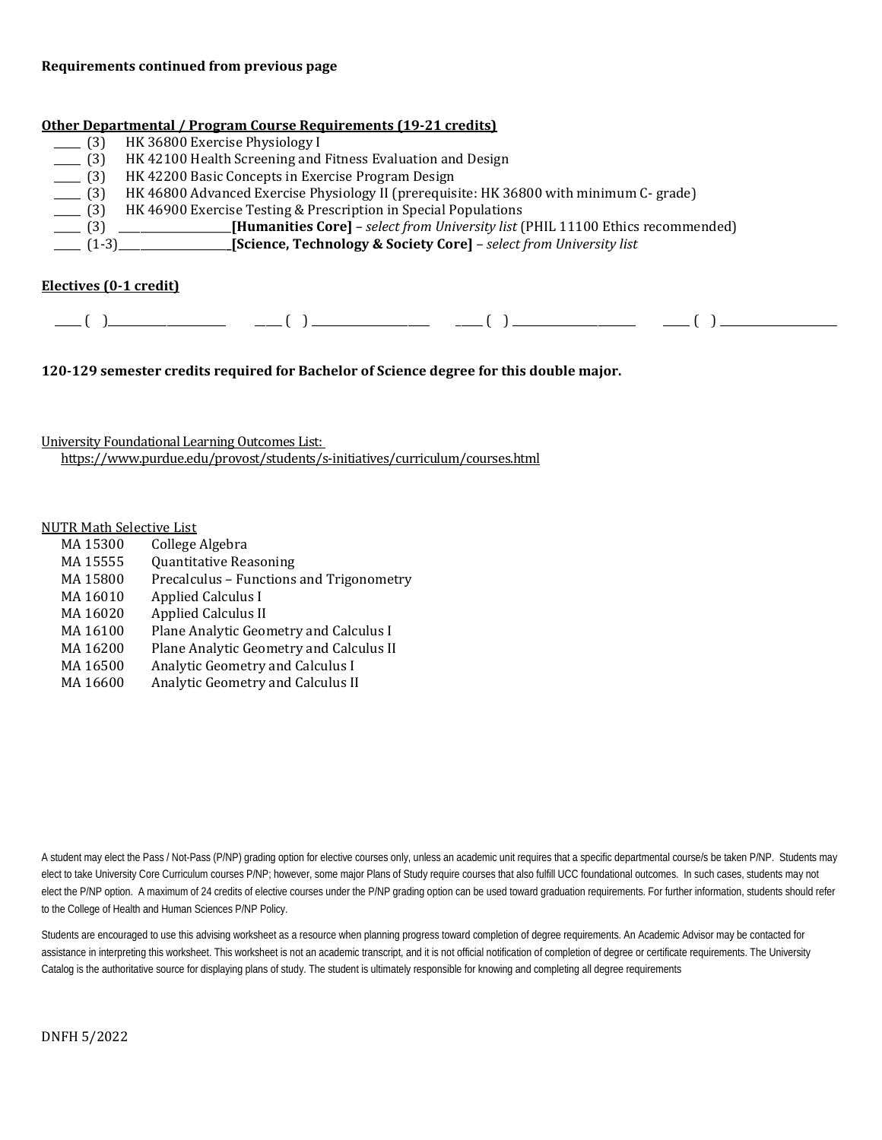#### **Requirements continued from previous page**

#### **Other Departmental / Program Course Requirements (19-21 credits)**

| HK 36800 Exercise Physiology I                                                          |
|-----------------------------------------------------------------------------------------|
| HK 42100 Health Screening and Fitness Evaluation and Design                             |
| HK 42200 Basic Concepts in Exercise Program Design                                      |
| HK 46800 Advanced Exercise Physiology II (prerequisite: HK 36800 with minimum C- grade) |
| HK 46900 Exercise Testing & Prescription in Special Populations                         |
| [Bumanities Core] – select from University list (PHIL 11100 Ethics recommended)         |
| $(1-3)$ [Science, Technology & Society Core] – select from University list              |
|                                                                                         |

#### **Electives (0-1 credit)**

| _____ |  | _____ |  |  |  |  |
|-------|--|-------|--|--|--|--|
|       |  |       |  |  |  |  |

**120-129 semester credits required for Bachelor of Science degree for this double major.**

University Foundational Learning Outcomes List: <https://www.purdue.edu/provost/students/s-initiatives/curriculum/courses.html>

# NUTR Math Selective List<br>MA 15300 College

MA 15300 College Algebra<br>MA 15555 Ouantitative Rea MA 15555 Quantitative Reasoning<br>MA 15800 Precalculus – Functions MA 15800 Precalculus – Functions and Trigonometry<br>MA 16010 Applied Calculus I MA 16010 Applied Calculus I<br>MA 16020 Applied Calculus II MA 16020 Applied Calculus II<br>MA 16100 Plane Analytic Geor MA 16100 Plane Analytic Geometry and Calculus I<br>MA 16200 Plane Analytic Geometry and Calculus II MA 16200 Plane Analytic Geometry and Calculus II<br>MA 16500 Analytic Geometry and Calculus I MA 16500 Analytic Geometry and Calculus I<br>MA 16600 Analytic Geometry and Calculus II Analytic Geometry and Calculus II

A student may elect the Pass / Not-Pass (P/NP) grading option for elective courses only, unless an academic unit requires that a specific departmental course/s be taken P/NP. Students may elect to take University Core Curriculum courses P/NP; however, some major Plans of Study require courses that also fulfill UCC foundational outcomes. In such cases, students may not elect the P/NP option. A maximum of 24 credits of elective courses under the P/NP grading option can be used toward graduation requirements. For further information, students should refer to the College of Health and Human Sciences P/NP Policy.

Students are encouraged to use this advising worksheet as a resource when planning progress toward completion of degree requirements. An Academic Advisor may be contacted for assistance in interpreting this worksheet. This worksheet is not an academic transcript, and it is not official notification of completion of degree or certificate requirements. The University Catalog is the authoritative source for displaying plans of study. The student is ultimately responsible for knowing and completing all degree requirements